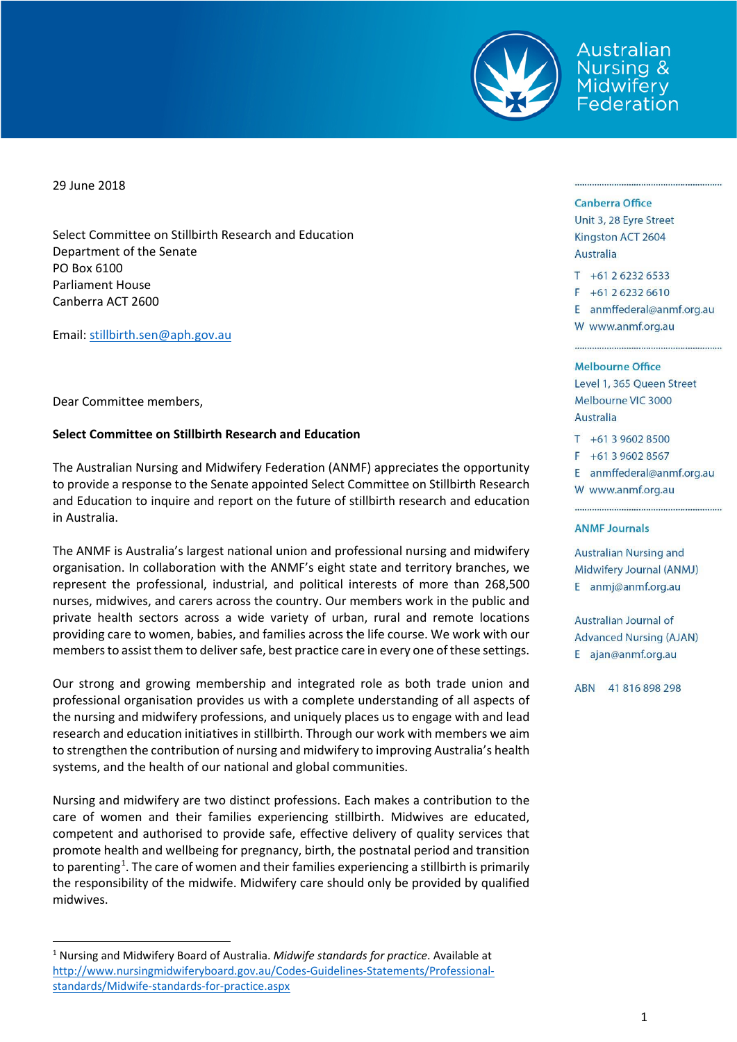

Australian Nursing & Midwifery<br>Federation

29 June 2018

Select Committee on Stillbirth Research and Education Department of the Senate PO Box 6100 Parliament House Canberra ACT 2600

Email: [stillbirth.sen@aph.gov.au](mailto:stillbirth.sen@aph.gov.au)

Dear Committee members,

## **Select Committee on Stillbirth Research and Education**

The Australian Nursing and Midwifery Federation (ANMF) appreciates the opportunity to provide a response to the Senate appointed Select Committee on Stillbirth Research and Education to inquire and report on the future of stillbirth research and education in Australia.

The ANMF is Australia's largest national union and professional nursing and midwifery organisation. In collaboration with the ANMF's eight state and territory branches, we represent the professional, industrial, and political interests of more than 268,500 nurses, midwives, and carers across the country. Our members work in the public and private health sectors across a wide variety of urban, rural and remote locations providing care to women, babies, and families across the life course. We work with our members to assist them to deliver safe, best practice care in every one of these settings.

Our strong and growing membership and integrated role as both trade union and professional organisation provides us with a complete understanding of all aspects of the nursing and midwifery professions, and uniquely places us to engage with and lead research and education initiatives in stillbirth. Through our work with members we aim to strengthen the contribution of nursing and midwifery to improving Australia's health systems, and the health of our national and global communities.

Nursing and midwifery are two distinct professions. Each makes a contribution to the care of women and their families experiencing stillbirth. Midwives are educated, competent and authorised to provide safe, effective delivery of quality services that promote health and wellbeing for pregnancy, birth, the postnatal period and transition to parenting<sup>[1](#page-0-0)</sup>. The care of women and their families experiencing a stillbirth is primarily the responsibility of the midwife. Midwifery care should only be provided by qualified midwives.

## Canberra Office

Unit 3, 28 Eyre Street Kingston ACT 2604 Australia

 $T + 61262326533$  $F + 61262326610$ E anmffederal@anmf.org.au W www.anmf.org.au

## **Melbourne Office**

Level 1, 365 Queen Street Melbourne VIC 3000 Australia

 $T + 61396028500$ 

 $F + 61396028567$ 

E anmffederal@anmf.org.au

W www.anmf.org.au

## **ANMF Journals**

**Australian Nursing and** Midwifery Journal (ANMJ) E anmj@anmf.org.au

**Australian Journal of Advanced Nursing (AJAN)** E ajan@anmf.org.au

ABN 41816898298

<span id="page-0-0"></span> <sup>1</sup> Nursing and Midwifery Board of Australia. *Midwife standards for practice*. Available at [http://www.nursingmidwiferyboard.gov.au/Codes-Guidelines-Statements/Professional](http://www.nursingmidwiferyboard.gov.au/Codes-Guidelines-Statements/Professional-standards/Midwife-standards-for-practice.aspx)[standards/Midwife-standards-for-practice.aspx](http://www.nursingmidwiferyboard.gov.au/Codes-Guidelines-Statements/Professional-standards/Midwife-standards-for-practice.aspx)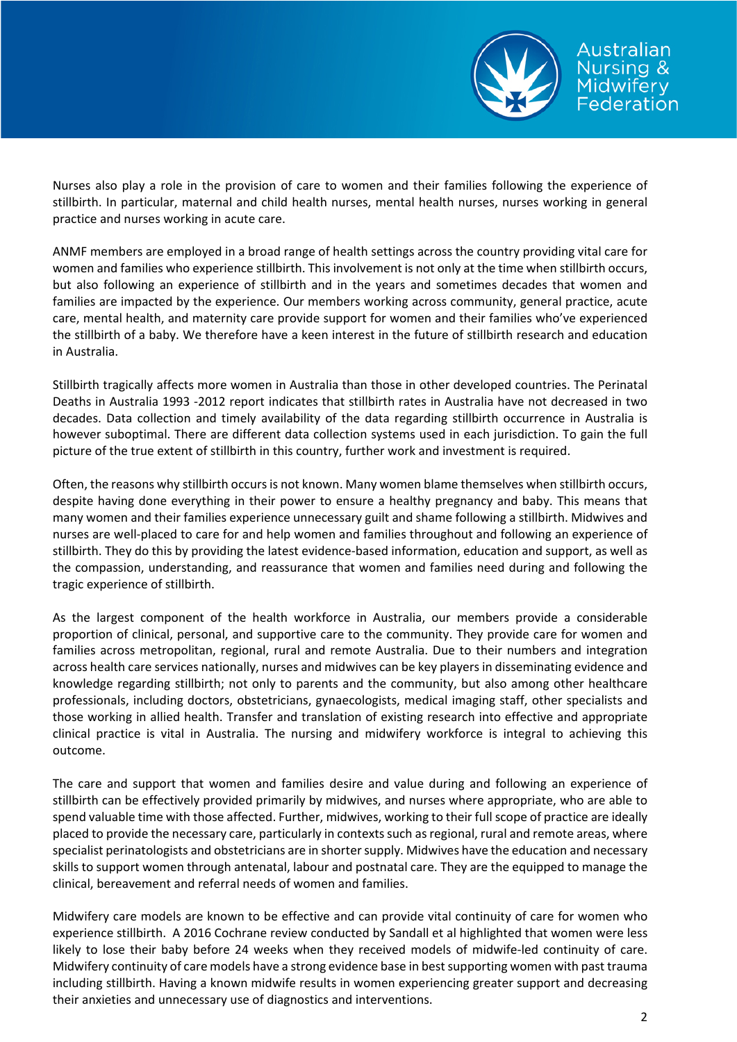

Nurses also play a role in the provision of care to women and their families following the experience of stillbirth. In particular, maternal and child health nurses, mental health nurses, nurses working in general practice and nurses working in acute care.

ANMF members are employed in a broad range of health settings across the country providing vital care for women and families who experience stillbirth. This involvement is not only at the time when stillbirth occurs, but also following an experience of stillbirth and in the years and sometimes decades that women and families are impacted by the experience. Our members working across community, general practice, acute care, mental health, and maternity care provide support for women and their families who've experienced the stillbirth of a baby. We therefore have a keen interest in the future of stillbirth research and education in Australia.

Stillbirth tragically affects more women in Australia than those in other developed countries. The Perinatal Deaths in Australia 1993 -2012 report indicates that stillbirth rates in Australia have not decreased in two decades. Data collection and timely availability of the data regarding stillbirth occurrence in Australia is however suboptimal. There are different data collection systems used in each jurisdiction. To gain the full picture of the true extent of stillbirth in this country, further work and investment is required.

Often, the reasons why stillbirth occurs is not known. Many women blame themselves when stillbirth occurs, despite having done everything in their power to ensure a healthy pregnancy and baby. This means that many women and their families experience unnecessary guilt and shame following a stillbirth. Midwives and nurses are well-placed to care for and help women and families throughout and following an experience of stillbirth. They do this by providing the latest evidence-based information, education and support, as well as the compassion, understanding, and reassurance that women and families need during and following the tragic experience of stillbirth.

As the largest component of the health workforce in Australia, our members provide a considerable proportion of clinical, personal, and supportive care to the community. They provide care for women and families across metropolitan, regional, rural and remote Australia. Due to their numbers and integration across health care services nationally, nurses and midwives can be key players in disseminating evidence and knowledge regarding stillbirth; not only to parents and the community, but also among other healthcare professionals, including doctors, obstetricians, gynaecologists, medical imaging staff, other specialists and those working in allied health. Transfer and translation of existing research into effective and appropriate clinical practice is vital in Australia. The nursing and midwifery workforce is integral to achieving this outcome.

The care and support that women and families desire and value during and following an experience of stillbirth can be effectively provided primarily by midwives, and nurses where appropriate, who are able to spend valuable time with those affected. Further, midwives, working to their full scope of practice are ideally placed to provide the necessary care, particularly in contexts such as regional, rural and remote areas, where specialist perinatologists and obstetricians are in shorter supply. Midwives have the education and necessary skills to support women through antenatal, labour and postnatal care. They are the equipped to manage the clinical, bereavement and referral needs of women and families.

Midwifery care models are known to be effective and can provide vital continuity of care for women who experience stillbirth. A 2016 Cochrane review conducted by Sandall et al highlighted that women were less likely to lose their baby before 24 weeks when they received models of midwife-led continuity of care. Midwifery continuity of care models have a strong evidence base in best supporting women with past trauma including stillbirth. Having a known midwife results in women experiencing greater support and decreasing their anxieties and unnecessary use of diagnostics and interventions.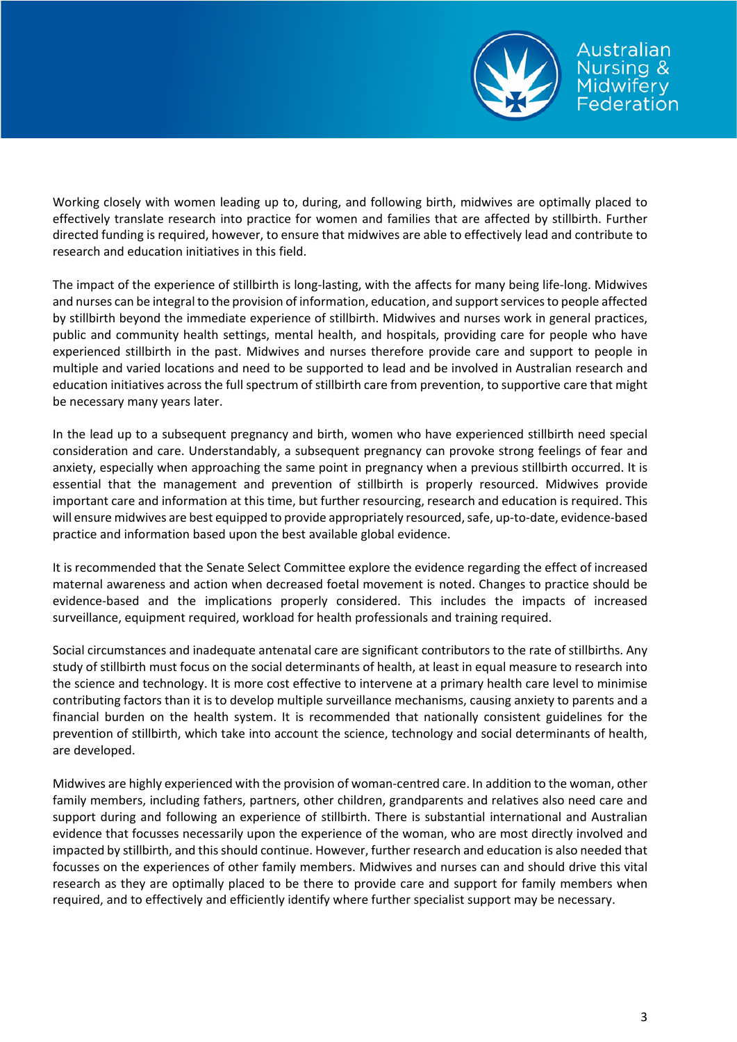

Working closely with women leading up to, during, and following birth, midwives are optimally placed to effectively translate research into practice for women and families that are affected by stillbirth. Further directed funding is required, however, to ensure that midwives are able to effectively lead and contribute to research and education initiatives in this field.

The impact of the experience of stillbirth is long-lasting, with the affects for many being life-long. Midwives and nurses can be integral to the provision of information, education, and support services to people affected by stillbirth beyond the immediate experience of stillbirth. Midwives and nurses work in general practices, public and community health settings, mental health, and hospitals, providing care for people who have experienced stillbirth in the past. Midwives and nurses therefore provide care and support to people in multiple and varied locations and need to be supported to lead and be involved in Australian research and education initiatives across the full spectrum of stillbirth care from prevention, to supportive care that might be necessary many years later.

In the lead up to a subsequent pregnancy and birth, women who have experienced stillbirth need special consideration and care. Understandably, a subsequent pregnancy can provoke strong feelings of fear and anxiety, especially when approaching the same point in pregnancy when a previous stillbirth occurred. It is essential that the management and prevention of stillbirth is properly resourced. Midwives provide important care and information at this time, but further resourcing, research and education is required. This will ensure midwives are best equipped to provide appropriately resourced, safe, up-to-date, evidence-based practice and information based upon the best available global evidence.

It is recommended that the Senate Select Committee explore the evidence regarding the effect of increased maternal awareness and action when decreased foetal movement is noted. Changes to practice should be evidence-based and the implications properly considered. This includes the impacts of increased surveillance, equipment required, workload for health professionals and training required.

Social circumstances and inadequate antenatal care are significant contributors to the rate of stillbirths. Any study of stillbirth must focus on the social determinants of health, at least in equal measure to research into the science and technology. It is more cost effective to intervene at a primary health care level to minimise contributing factors than it is to develop multiple surveillance mechanisms, causing anxiety to parents and a financial burden on the health system. It is recommended that nationally consistent guidelines for the prevention of stillbirth, which take into account the science, technology and social determinants of health, are developed.

Midwives are highly experienced with the provision of woman-centred care. In addition to the woman, other family members, including fathers, partners, other children, grandparents and relatives also need care and support during and following an experience of stillbirth. There is substantial international and Australian evidence that focusses necessarily upon the experience of the woman, who are most directly involved and impacted by stillbirth, and this should continue. However, further research and education is also needed that focusses on the experiences of other family members. Midwives and nurses can and should drive this vital research as they are optimally placed to be there to provide care and support for family members when required, and to effectively and efficiently identify where further specialist support may be necessary.